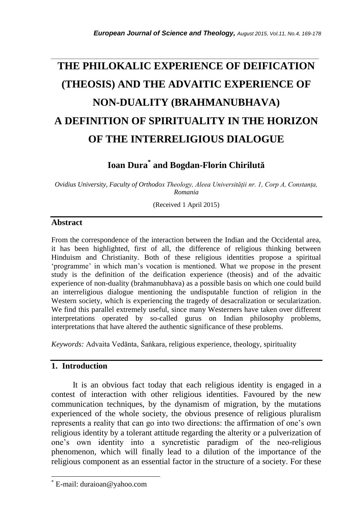# **THE PHILOKALIC EXPERIENCE OF DEIFICATION (THEOSIS) AND THE ADVAITIC EXPERIENCE OF NON-DUALITY (BRAHMANUBHAVA) A DEFINITION OF SPIRITUALITY IN THE HORIZON OF THE INTERRELIGIOUS DIALOGUE**

*\_\_\_\_\_\_\_\_\_\_\_\_\_\_\_\_\_\_\_\_\_\_\_\_\_\_\_\_\_\_\_\_\_\_\_\_\_\_\_\_\_\_\_\_\_\_\_\_\_\_\_\_\_\_\_\_\_\_\_\_\_\_\_\_\_\_\_\_\_\_\_*

# **Ioan Dura\* and Bogdan-Florin Chirilută**

*Ovidius University, Faculty of Orthodox Theology, Aleea Universității nr. 1, Corp A, Constanța, Romania*

(Received 1 April 2015)

#### **Abstract**

From the correspondence of the interaction between the Indian and the Occidental area, it has been highlighted, first of all, the difference of religious thinking between Hinduism and Christianity. Both of these religious identities propose a spiritual "programme" in which man"s vocation is mentioned. What we propose in the present study is the definition of the deification experience (theosis) and of the advaitic experience of non-duality (brahmanubhava) as a possible basis on which one could build an interreligious dialogue mentioning the undisputable function of religion in the Western society, which is experiencing the tragedy of desacralization or secularization. We find this parallel extremely useful, since many Westerners have taken over different interpretations operated by so-called gurus on Indian philosophy problems, interpretations that have altered the authentic significance of these problems.

*Keywords:* Advaita Vedānta, Śaṅkara, religious experience, theology, spirituality

#### **1. Introduction**

l

 It is an obvious fact today that each religious identity is engaged in a contest of interaction with other religious identities. Favoured by the new communication techniques, by the dynamism of migration, by the mutations experienced of the whole society, the obvious presence of religious pluralism represents a reality that can go into two directions: the affirmation of one"s own religious identity by a tolerant attitude regarding the alterity or a pulverization of one"s own identity into a syncretistic paradigm of the neo-religious phenomenon, which will finally lead to a dilution of the importance of the religious component as an essential factor in the structure of a society. For these

E-mail: duraioan@yahoo.com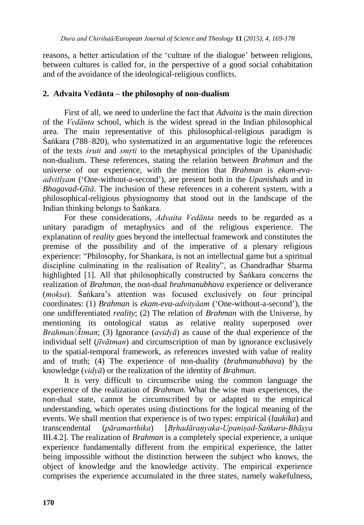reasons, a better articulation of the "culture of the dialogue" between religions, between cultures is called for, in the perspective of a good social cohabitation and of the avoidance of the ideological-religious conflicts.

### **2. Advaita Vedānta – the philosophy of non-dualism**

First of all, we need to underline the fact that *Advaita* is the main direction of the *Vedānta* school, which is the widest spread in the Indian philosophical area. The main representative of this philosophical-religious paradigm is Śaṅkara (788–820), who systematized in an argumentative logic the references of the texts *śruti* and *smṛti* to the metaphysical principles of the Upanishadic non-dualism. These references, stating the relation between *Brahman* and the universe of our experience, with the mention that *Brahman* is *ekam-evaadvitīyam* ("One-without-a-second"), are present both in the *Upanishads* and in *Bhagavad-Gītā*. The inclusion of these references in a coherent system, with a philosophical-religious physiognomy that stood out in the landscape of the Indian thinking belongs to Śaṅkara.

For these considerations, *Advaita Vedānta* needs to be regarded as a unitary paradigm of metaphysics and of the religious experience. The explanation of *reality* goes beyond the intellectual framework and constitutes the premise of the possibility and of the imperative of a plenary religious experience: "Philosophy, for Shankara, is not an intellectual game but a spiritual discipline culminating in the realisation of Reality", as Chandradhar Sharma highlighted [1]. All that philosophically constructed by Śaṅkara concerns the realization of *Brahman*, the non-dual *brahmanubhava* experience or deliverance (*mokṣa*). Śaṅkara"s attention was focused exclusively on four principal coordinates: (1) *Brahman* is *ekam-eva-advityāam* ("One-without-a-second"), the one undifferentiated *reality*; (2) The relation of *Brahman* with the Universe, by mentioning its ontological status as relative reality superposed over *Brahman/Ātman*; (3) Ignorance (*avidyā*) as cause of the dual experience of the individual self (*jīvātman*) and circumscription of man by ignorance exclusively to the spatial-temporal framework, as references invested with value of reality and of truth; (4) The experience of non-duality (*brahmanubhava*) by the knowledge (*vidyā*) or the realization of the identity of *Brahman*.

It is very difficult to circumscribe using the common language the experience of the realization of *Brahman*. What the wise man experiences, the non-dual state, cannot be circumscribed by or adapted to the empirical understanding, which operates using distinctions for the logical meaning of the events. We shall mention that experience is of two types: empirical (*laukika*) and transcendental (*pāramarthika*) [*Bṛhadāraṇyaka-Upaniṣad-Śaṅkara-Bhāṣya*  III.4.2]. The realization of *Brahman* is a completely special experience, a unique experience fundamentally different from the empirical experience, the latter being impossible without the distinction between the subject who knows, the object of knowledge and the knowledge activity. The empirical experience comprises the experience accumulated in the three states, namely wakefulness,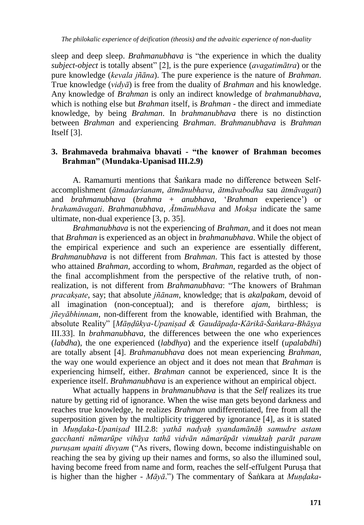sleep and deep sleep. *Brahmanubhava* is "the experience in which the duality *subject-object* is totally absent" [2], is the pure experience (*avagatimātra*) or the pure knowledge (*kevala jñāna*). The pure experience is the nature of *Brahman*. True knowledge (*vidyā*) is free from the duality of *Brahman* and his knowledge. Any knowledge of *Brahman* is only an indirect knowledge of *brahmanubhava*, which is nothing else but *Brahman* itself, is *Brahman* - the direct and immediate knowledge, by being *Brahman*. In *brahmanubhava* there is no distinction between *Brahman* and experiencing *Brahman*. *Brahmanubhava* is *Brahman* Itself [3].

#### **3. Brahmaveda brahmaiva bhavati - "the knower of Brahman becomes Brahman" (Mundaka-Upanisad III.2.9)**

A. Ramamurti mentions that Śaṅkara made no difference between Selfaccomplishment (*ātmadarśanam*, *ātmānubhava*, *ātmāvabodha* sau *ātmāvagati*) and *brahmanubhava* (*brahma* + *anubhava*, "*Brahman* experience") or *brahamāvagati*. *Brahmanubhava*, *Ātmānubhava* and *Mokṣa* indicate the same ultimate, non-dual experience [3, p. 35].

*Brahmanubhava* is not the experiencing of *Brahman*, and it does not mean that *Brahman* is experienced as an object in *brahmanubhava*. While the object of the empirical experience and such an experience are essentially different, *Brahmanubhava* is not different from *Brahman*. This fact is attested by those who attained *Brahman*, according to whom, *Brahman*, regarded as the object of the final accomplishment from the perspective of the relative truth, of nonrealization, is not different from *Brahmanubhava*: "The knowers of Brahman *pracakṣate*, say; that absolute *jñānam*, knowledge; that is *akalpakam*, devoid of all imagination (non-conceptual); and is therefore *ajam*, birthless; is *jñeyābhinnam*, non-different from the knowable, identified with Brahman, the absolute Reality" [*Māṇḍūkya-Upaniṣad & Gaudāpaḍa-Kārikā-Śaṅkara-Bhāṣya* III.33]. In *brahmanubhava*, the differences between the one who experiences (*labdha*), the one experienced (*labdhya*) and the experience itself (*upalabdhi*) are totally absent [4]. *Brahmanubhava* does not mean experiencing *Brahman*, the way one would experience an object and it does not mean that *Brahman* is experiencing himself, either. *Brahman* cannot be experienced, since It is the experience itself. *Brahmanubhava* is an experience without an empirical object.

What actually happens in *brahmanubhava* is that the *Self* realizes its true nature by getting rid of ignorance. When the wise man gets beyond darkness and reaches true knowledge, he realizes *Brahman* undifferentiated, free from all the superposition given by the multiplicity triggered by ignorance [4], as it is stated in *Muṇḍaka-Upaniṣad* III.2.8: *yathā nadyaḥ syandamānāḥ samudre astam gacchanti nāmarūpe vihāya tathā vidvān nāmarūpāt vimuktaḥ parāt param puruṣam upaiti divyam* ("As rivers, flowing down, become indistinguishable on reaching the sea by giving up their names and forms, so also the illumined soul, having become freed from name and form, reaches the self-effulgent Puruṣa that is higher than the higher - *Māyā*.") The commentary of Śaṅkara at *Muṇḍaka-*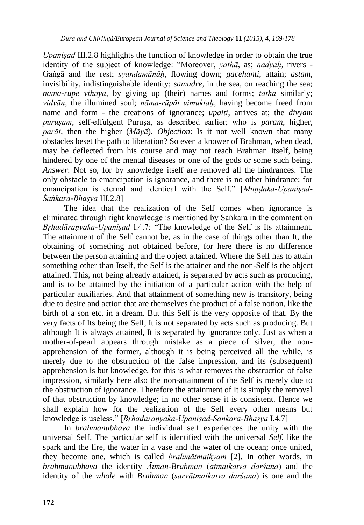*Upaniṣad* III.2.8 highlights the function of knowledge in order to obtain the true identity of the subject of knowledge: "Moreover, *yathā*, as; *nadyaḥ*, rivers - Gaṅgā and the rest; *syandamānāḥ*, flowing down; *gacehanti*, attain; *astam*, invisibility, indistinguishable identity; *samudre*, in the sea, on reaching the sea; *nama-rupe vihāya*, by giving up (their) names and forms; *tathā* similarly; *vidvān*, the illumined soul; *nāma-rūpāt vimuktaḥ*, having become freed from name and form - the creations of ignorance; *upaiti*, arrives at; the *divyam puruṣam*, self-effulgent Puruṣa, as described earlier; who is *param*, higher, *parāt*, then the higher (*Māyā*). *Objection*: Is it not well known that many obstacles beset the path to liberation? So even a knower of Brahman, when dead, may be deflected from his course and may not reach Brahman Itself, being hindered by one of the mental diseases or one of the gods or some such being. *Answer*: Not so, for by knowledge itself are removed all the hindrances. The only obstacle to emancipation is ignorance, and there is no other hindrance; for emancipation is eternal and identical with the Self." [*Mundaka-Upanisad-Śaṅkara-Bhāṣya* III.2.8]

The idea that the realization of the Self comes when ignorance is eliminated through right knowledge is mentioned by Saṅkara in the comment on *Bṛhadāraṇyaka-Upaniṣad* I.4.7: "The knowledge of the Self is Its attainment. The attainment of the Self cannot be, as in the case of things other than It, the obtaining of something not obtained before, for here there is no difference between the person attaining and the object attained. Where the Self has to attain something other than Itself, the Self is the attainer and the non-Self is the object attained. This, not being already attained, is separated by acts such as producing, and is to be attained by the initiation of a particular action with the help of particular auxiliaries. And that attainment of something new is transitory, being due to desire and action that are themselves the product of a false notion, like the birth of a son etc. in a dream. But this Self is the very opposite of that. By the very facts of Its being the Self, It is not separated by acts such as producing. But although It is always attained, It is separated by ignorance only. Just as when a mother-of-pearl appears through mistake as a piece of silver, the nonapprehension of the former, although it is being perceived all the while, is merely due to the obstruction of the false impression, and its (subsequent) apprehension is but knowledge, for this is what removes the obstruction of false impression, similarly here also the non-attainment of the Self is merely due to the obstruction of ignorance. Therefore the attainment of It is simply the removal of that obstruction by knowledge; in no other sense it is consistent. Hence we shall explain how for the realization of the Self every other means but knowledge is useless." [*Bṛhadāraṇyaka-Upaniṣad-Śaṅkara-Bhāṣya* I.4.7]

In *brahmanubhava* the individual self experiences the unity with the universal Self. The particular self is identified with the universal *Self*, like the spark and the fire, the water in a vase and the water of the ocean; once united, they become one, which is called *brahmātmaikyam* [2]. In other words, in *brahmanubhava* the identity *Ātman-Brahman* (*ātmaikatva darśana*) and the identity of the *whole* with *Brahman* (*sarvātmaikatva darśana*) is one and the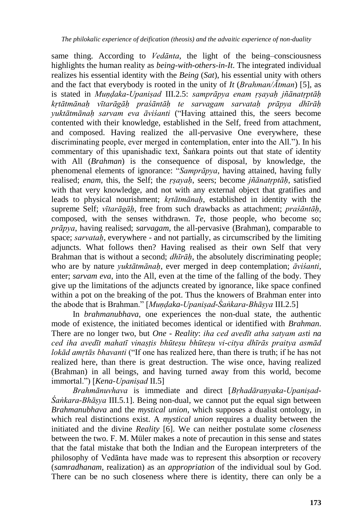same thing. According to *Vedānta*, the light of the being–consciousness highlights the human reality as *being-with-others-in-It*. The integrated individual realizes his essential identity with the *Being* (*Sat*), his essential unity with others and the fact that everybody is rooted in the unity of *It* (*Brahman/Ātman*) [5], as is stated in *Muṇḍaka-Upaniṣad* III.2.5: *samprāpya enam ṛṣayaḥ jñānatṛptāḥ kṛtātmānaḥ vītarāgāḥ praśāntāḥ te sarvagam sarvataḥ prāpya dhīrāḥ yuktātmānaḥ sarvam eva āviśanti* ("Having attained this, the seers become contented with their knowledge, established in the Self, freed from attachment, and composed. Having realized the all-pervasive One everywhere, these discriminating people, ever merged in contemplation, enter into the All."). In his commentary of this upanishadic text, Śaṅkara points out that state of identity with All (*Brahman*) is the consequence of disposal, by knowledge, the phenomenal elements of ignorance: "*Samprāpya*, having attained, having fully realised; *enam*, this, the Self; the *ṛṣayaḥ*, seers; become *jñānatṛptāḥ*, satisfied with that very knowledge, and not with any external object that gratifies and leads to physical nourishment; *kṛtātmānaḥ*, established in identity with the supreme Self; *vītarāgāḥ*, free from such drawbacks as attachment; *praśāntāḥ*, composed, with the senses withdrawn. *Te*, those people, who become so; *prāpya*, having realised; *sarvagam*, the all-pervasive (Brahman), comparable to space; *sarvataḥ*, everywhere - and not partially, as circumscribed by the limiting adjuncts. What follows then? Having realised as their own Self that very Brahman that is without a second; *dhīrāḥ*, the absolutely discriminating people; who are by nature *yuktātmānaḥ*, ever merged in deep contemplation; *āviśanti*, enter; *sarvam eva*, into the All, even at the time of the falling of the body. They give up the limitations of the adjuncts created by ignorance, like space confined within a pot on the breaking of the pot. Thus the knowers of Brahman enter into the abode that is Brahman." [*Muṇḍaka-Upaniṣad-Śaṅkara-Bhāṣya* III.2.5]

In *brahmanubhava*, one experiences the non-dual state, the authentic mode of existence, the initiated becomes identical or identified with *Brahman*. There are no longer two, but *One* - *Reality*: *iha ced avedīt atha satyam asti na ced iha avedīt mahatī vinaṣṭis bhūteṣu bhūteṣu vi-citya dhīrās praitya asmād lokād amṛtās bhavanti* ("If one has realized here, than there is truth; if he has not realized here, than there is great destruction. The wise once, having realized (Brahman) in all beings, and having turned away from this world, become immortal.") [*Kena-Upaniṣad* II.5]

*Brahmānuvhava* is immediate and direct [*Bṛhadāraṇyaka-Upaniṣad-Śaṅkara-Bhāṣya* III.5.1]. Being non-dual, we cannot put the equal sign between *Brahmanubhava* and the *mystical union*, which supposes a dualist ontology, in which real distinctions exist. A *mystical union* requires a duality between the initiated and the divine *Reality* [6]. We can neither postulate some *closeness*  between the two. F. M. Müler makes a note of precaution in this sense and states that the fatal mistake that both the Indian and the European interpreters of the philosophy of Vedānta have made was to represent this absorption or recovery (*samradhanam*, realization) as an *appropriation* of the individual soul by God. There can be no such closeness where there is identity, there can only be a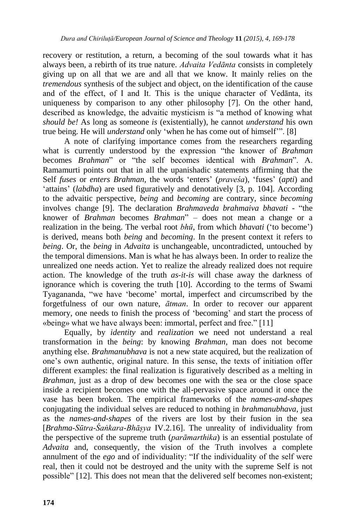recovery or restitution, a return, a becoming of the soul towards what it has always been, a rebirth of its true nature. *Advaita Vedānta* consists in completely giving up on all that we are and all that we know. It mainly relies on the *tremendous* synthesis of the subject and object, on the identification of the cause and of the effect, of I and It. This is the unique character of Vedānta, its uniqueness by comparison to any other philosophy [7]. On the other hand, described as knowledge, the advaitic mysticism is "a method of knowing what *should be!* As long as someone *is* (existentially), he cannot *understand* his own true being. He will *understand* only "when he has come out of himself"". [8]

A note of clarifying importance comes from the researchers regarding what is currently understood by the expression "the knower of *Brahman* becomes *Brahman*" or "the self becomes identical with *Brahman*". A. Ramamurti points out that in all the upanishadic statements affirming that the Self *fuses* or *enters Brahman*, the words "enters" (*praveśa*), "fuses" (*apti*) and "attains" (*labdha*) are used figuratively and denotatively [3, p. 104]. According to the advaitic perspective, *being* and *becoming* are contrary, since *becoming* involves change [9]. The declaration *Brahmaveda brahmaiva bhavati* - "the knower of *Brahman* becomes *Brahman*" – does not mean a change or a realization in the being. The verbal root *bhū*, from which *bhavati* ("to become") is derived, means both *being* and *becoming*. In the present context it refers to *being*. Or, the *being* in *Advaita* is unchangeable, uncontradicted, untouched by the temporal dimensions. Man is what he has always been. In order to realize the unrealized one needs action. Yet to realize the already realized does not require action. The knowledge of the truth *as-it-is* will chase away the darkness of ignorance which is covering the truth [10]. According to the terms of Swami Tyagananda, "we have "become" mortal, imperfect and circumscribed by the forgetfulness of our own nature, *ātman*. In order to recover our apparent memory, one needs to finish the process of "becoming" and start the process of «being» what we have always been: immortal, perfect and free." [11]

Equally, by *identity* and *realization* we need not understand a real transformation in the *being*: by knowing *Brahman*, man does not become anything else. *Brahmanubhava* is not a new state acquired, but the realization of one"s own authentic, original nature. In this sense, the texts of initiation offer different examples: the final realization is figuratively described as a melting in *Brahman*, just as a drop of dew becomes one with the sea or the close space inside a recipient becomes one with the all-pervasive space around it once the vase has been broken. The empirical frameworks of the *names*-*and-shapes* conjugating the individual selves are reduced to nothing in *brahmanubhava*, just as the *names-and-shapes* of the rivers are lost by their fusion in the sea [*Brahma-Sūtra-Śaṅkara-Bhāṣya* IV.2.16]. The unreality of individuality from the perspective of the supreme truth (*parāmarthika*) is an essential postulate of *Advaita* and, consequently, the vision of the Truth involves a complete annulment of the *ego* and of individuality: "If the individuality of the self were real, then it could not be destroyed and the unity with the supreme Self is not possible" [12]. This does not mean that the delivered self becomes non-existent;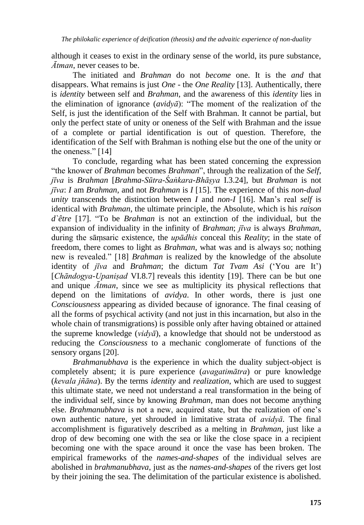although it ceases to exist in the ordinary sense of the world, its pure substance, *Ātman*, never ceases to be.

The initiated and *Brahman* do not *become* one. It is the *and* that disappears. What remains is just *One* - the *One Reality* [13]. Authentically, there is *identity* between self and *Brahman*, and the awareness of this *identity* lies in the elimination of ignorance (*avidyā*): "The moment of the realization of the Self, is just the identification of the Self with Brahman. It cannot be partial, but only the perfect state of unity or oneness of the Self with Brahman and the issue of a complete or partial identification is out of question. Therefore, the identification of the Self with Brahman is nothing else but the one of the unity or the oneness." [14]

To conclude, regarding what has been stated concerning the expression "the knower of *Brahman* becomes *Brahman*", through the realization of the *Self*, *jīva* is *Brahman* [*Brahma-Sūtra-Śaṅkara-Bhāṣya* I.3.24], but *Brahman* is not *jīva*: *I* am *Brahman*, and not *Brahman* is *I* [15]. The experience of this *non-dual unity* transcends the distinction between *I* and *non-I* [16]. Man"s real *self* is identical with *Brahman*, the ultimate principle, the Absolute, which is his *raison d`être* [17]. "To be *Brahman* is not an extinction of the individual, but the expansion of individuality in the infinity of *Brahman*; *jīva* is always *Brahman*, during the sāṃsaric existence, the *upādhis* conceal this *Reality*; in the state of freedom, there comes to light as *Brahman*, what was and is always so; nothing new is revealed." [18] *Brahman* is realized by the knowledge of the absolute identity of *jīva* and *Brahman*; the dictum *Tat Tvam Asi* ("You are It") [*Chāndogya-Upaniṣad* VI.8.7] reveals this identity [19]. There can be but one and unique *Ātman*, since we see as multiplicity its physical reflections that depend on the limitations of *avidya*. In other words, there is just one *Consciousness* appearing as divided because of ignorance. The final ceasing of all the forms of psychical activity (and not just in this incarnation, but also in the whole chain of transmigrations) is possible only after having obtained or attained the supreme knowledge (*vidyā*), a knowledge that should not be understood as reducing the *Consciousness* to a mechanic conglomerate of functions of the sensory organs [20].

*Brahmanubhava* is the experience in which the duality subject-object is completely absent; it is pure experience (*avagatimātra*) or pure knowledge (*kevala jñāna*). By the terms *identity* and *realization*, which are used to suggest this ultimate state, we need not understand a real transformation in the being of the individual self, since by knowing *Brahman*, man does not become anything else. *Brahmanubhava* is not a new, acquired state, but the realization of one"s own authentic nature, yet shrouded in limitative strata of *avidyā*. The final accomplishment is figuratively described as a melting in *Brahman*, just like a drop of dew becoming one with the sea or like the close space in a recipient becoming one with the space around it once the vase has been broken. The empirical frameworks of the *names*-*and-shapes* of the individual selves are abolished in *brahmanubhava*, just as the *names-and-shapes* of the rivers get lost by their joining the sea. The delimitation of the particular existence is abolished.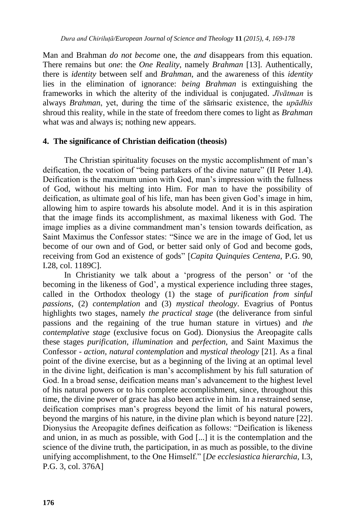Man and Brahman *do not become* one, the *and* disappears from this equation. There remains but *one*: the *One Reality*, namely *Brahman* [13]. Authentically, there is *identity* between self and *Brahman*, and the awareness of this *identity* lies in the elimination of ignorance: *being Brahman* is extinguishing the frameworks in which the alterity of the individual is conjugated. *Jīvātman* is always *Brahman*, yet, during the time of the sāṁsaric existence, the *upādhis*  shroud this reality, while in the state of freedom there comes to light as *Brahman*  what was and always is; nothing new appears.

#### **4. The significance of Christian deification (theosis)**

The Christian spirituality focuses on the mystic accomplishment of man"s deification, the vocation of "being partakers of the divine nature" (II Peter 1.4). Deification is the maximum union with God, man"s impression with the fullness of God, without his melting into Him. For man to have the possibility of deification, as ultimate goal of his life, man has been given God"s image in him, allowing him to aspire towards his absolute model. And it is in this aspiration that the image finds its accomplishment, as maximal likeness with God. The image implies as a divine commandment man"s tension towards deification, as Saint Maximus the Confessor states: "Since we are in the image of God, let us become of our own and of God, or better said only of God and become gods, receiving from God an existence of gods" [*Capita Quinquies Centena*, P.G. 90, I.28, col. 1189C].

In Christianity we talk about a "progress of the person" or "of the becoming in the likeness of God', a mystical experience including three stages, called in the Orthodox theology (1) the stage of *purification from sinful passions*, (2) *contemplation* and (3) *mystical theology*. Evagrius of Pontus highlights two stages, namely *the practical stage* (the deliverance from sinful passions and the regaining of the true human stature in virtues) and *the contemplative stage* (exclusive focus on God). Dionysius the Areopagite calls these stages *purification*, *illumination* and *perfection*, and Saint Maximus the Confessor - *action*, *natural contemplation* and *mystical theology* [21]. As a final point of the divine exercise, but as a beginning of the living at an optimal level in the divine light, deification is man"s accomplishment by his full saturation of God. In a broad sense, deification means man's advancement to the highest level of his natural powers or to his complete accomplishment, since, throughout this time, the divine power of grace has also been active in him. In a restrained sense, deification comprises man"s progress beyond the limit of his natural powers, beyond the margins of his nature, in the divine plan which is beyond nature [22]. Dionysius the Areopagite defines deification as follows: "Deification is likeness and union, in as much as possible, with God [...] it is the contemplation and the science of the divine truth, the participation, in as much as possible, to the divine unifying accomplishment, to the One Himself." [*De ecclesiastica hierarchia,* I.3, P.G. 3, col. 376A]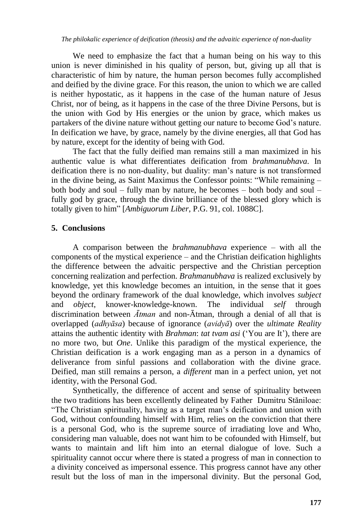*The philokalic experience of deification (theosis) and the advaitic experience of non-duality* 

We need to emphasize the fact that a human being on his way to this union is never diminished in his quality of person, but, giving up all that is characteristic of him by nature, the human person becomes fully accomplished and deified by the divine grace. For this reason, the union to which we are called is neither hypostatic, as it happens in the case of the human nature of Jesus Christ, nor of being, as it happens in the case of the three Divine Persons, but is the union with God by His energies or the union by grace, which makes us partakers of the divine nature without getting our nature to become God"s nature. In deification we have, by grace, namely by the divine energies, all that God has by nature, except for the identity of being with God.

The fact that the fully deified man remains still a man maximized in his authentic value is what differentiates deification from *brahmanubhava*. In deification there is no non-duality, but duality: man"s nature is not transformed in the divine being, as Saint Maximus the Confessor points: "While remaining – both body and soul – fully man by nature, he becomes – both body and soul – fully god by grace, through the divine brilliance of the blessed glory which is totally given to him" [*Ambiguorum Liber*, P.G. 91, col. 1088C].

## **5. Conclusions**

A comparison between the *brahmanubhava* experience – with all the components of the mystical experience – and the Christian deification highlights the difference between the advaitic perspective and the Christian perception concerning realization and perfection. *Brahmanubhava* is realized exclusively by knowledge, yet this knowledge becomes an intuition, in the sense that it goes beyond the ordinary framework of the dual knowledge, which involves *subject* and *object*, knower-knowledge-known. The individual *self* through discrimination between *Ātman* and non-Ātman, through a denial of all that is overlapped (*adhyāsa*) because of ignorance (*avidyā*) over the *ultimate Reality* attains the authentic identity with *Brahman*: *tat tvam asi* ("You are It"), there are no more two, but *One*. Unlike this paradigm of the mystical experience, the Christian deification is a work engaging man as a person in a dynamics of deliverance from sinful passions and collaboration with the divine grace. Deified, man still remains a person, a *different* man in a perfect union, yet not identity, with the Personal God.

Synthetically, the difference of accent and sense of spirituality between the two traditions has been excellently delineated by Father Dumitru Stăniloae: "The Christian spirituality, having as a target man"s deification and union with God, without confounding himself with Him, relies on the conviction that there is a personal God, who is the supreme source of irradiating love and Who, considering man valuable, does not want him to be cofounded with Himself, but wants to maintain and lift him into an eternal dialogue of love. Such a spirituality cannot occur where there is stated a progress of man in connection to a divinity conceived as impersonal essence. This progress cannot have any other result but the loss of man in the impersonal divinity. But the personal God,